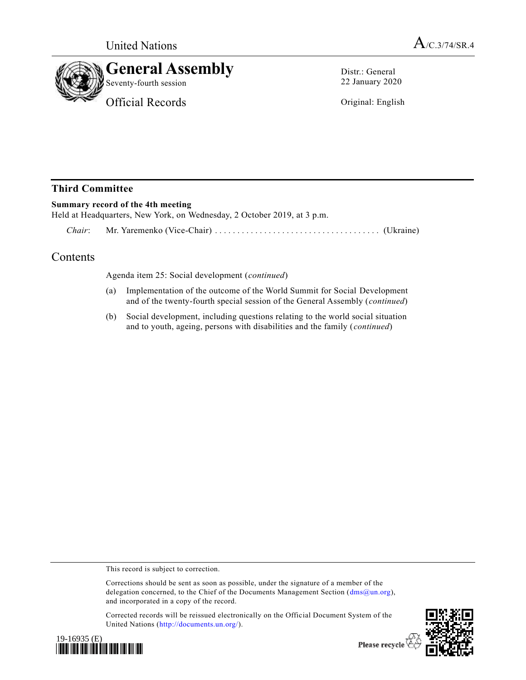



Distr.: General 22 January 2020

Original: English

## **Third Committee**

## **Summary record of the 4th meeting**

Held at Headquarters, New York, on Wednesday, 2 October 2019, at 3 p.m.

*Chair*: Mr. Yaremenko (Vice-Chair) ................................ ..... (Ukraine)

## **Contents**

Agenda item 25: Social development (*continued*)

- (a) Implementation of the outcome of the World Summit for Social Development and of the twenty-fourth special session of the General Assembly (*continued*)
- (b) Social development, including questions relating to the world social situation and to youth, ageing, persons with disabilities and the family (*continued*)

This record is subject to correction.

Corrected records will be reissued electronically on the Official Document System of the United Nations [\(http://documents.un.org/\)](http://documents.un.org/).





Please recycle

Corrections should be sent as soon as possible, under the signature of a member of the delegation concerned, to the Chief of the Documents Management Section ( $\text{dms@un.org}$ ), and incorporated in a copy of the record.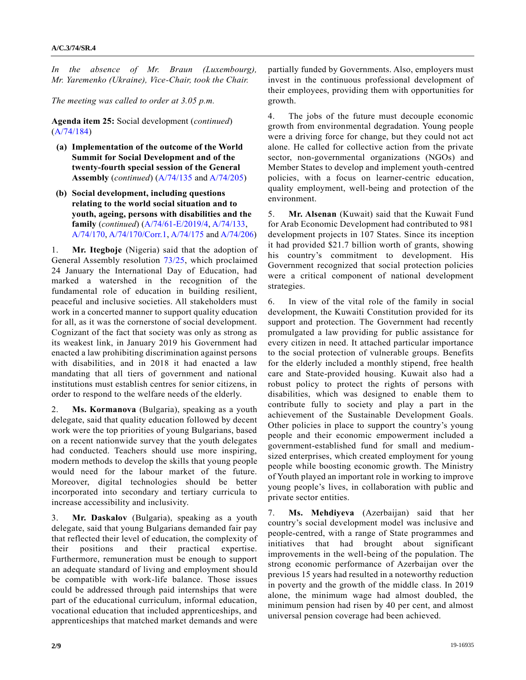*In the absence of Mr. Braun (Luxembourg), Mr. Yaremenko (Ukraine), Vice-Chair, took the Chair.*

*The meeting was called to order at 3.05 p.m.*

**Agenda item 25:** Social development (*continued*) [\(A/74/184\)](https://undocs.org/en/A/74/184)

- **(a) Implementation of the outcome of the World Summit for Social Development and of the twenty-fourth special session of the General Assembly** (*continued*) [\(A/74/135](https://undocs.org/en/A/74/135) and [A/74/205\)](https://undocs.org/en/A/74/205)
- **(b) Social development, including questions relating to the world social situation and to youth, ageing, persons with disabilities and the family** (*continued*) [\(A/74/61-E/2019/4,](https://undocs.org/en/A/74/61) [A/74/133,](https://undocs.org/en/A/74/133) [A/74/170,](https://undocs.org/en/A/74/170) [A/74/170/Corr.1,](https://undocs.org/en/A/74/170/Corr.1) [A/74/175](https://undocs.org/en/A/74/175) and [A/74/206\)](https://undocs.org/en/A/74/206)

1. **Mr. Itegboje** (Nigeria) said that the adoption of General Assembly resolution [73/25,](https://undocs.org/en/A/RES/73/25) which proclaimed 24 January the International Day of Education, had marked a watershed in the recognition of the fundamental role of education in building resilient, peaceful and inclusive societies. All stakeholders must work in a concerted manner to support quality education for all, as it was the cornerstone of social development. Cognizant of the fact that society was only as strong as its weakest link, in January 2019 his Government had enacted a law prohibiting discrimination against persons with disabilities, and in 2018 it had enacted a law mandating that all tiers of government and national institutions must establish centres for senior citizens, in order to respond to the welfare needs of the elderly.

Ms. Kormanova (Bulgaria), speaking as a youth delegate, said that quality education followed by decent work were the top priorities of young Bulgarians, based on a recent nationwide survey that the youth delegates had conducted. Teachers should use more inspiring, modern methods to develop the skills that young people would need for the labour market of the future. Moreover, digital technologies should be better incorporated into secondary and tertiary curricula to increase accessibility and inclusivity.

3. **Mr. Daskalov** (Bulgaria), speaking as a youth delegate, said that young Bulgarians demanded fair pay that reflected their level of education, the complexity of their positions and their practical expertise. Furthermore, remuneration must be enough to support an adequate standard of living and employment should be compatible with work-life balance. Those issues could be addressed through paid internships that were part of the educational curriculum, informal education, vocational education that included apprenticeships, and apprenticeships that matched market demands and were partially funded by Governments. Also, employers must invest in the continuous professional development of their employees, providing them with opportunities for growth.

4. The jobs of the future must decouple economic growth from environmental degradation. Young people were a driving force for change, but they could not act alone. He called for collective action from the private sector, non-governmental organizations (NGOs) and Member States to develop and implement youth-centred policies, with a focus on learner-centric education, quality employment, well-being and protection of the environment.

5. **Mr. Alsenan** (Kuwait) said that the Kuwait Fund for Arab Economic Development had contributed to 981 development projects in 107 States. Since its inception it had provided \$21.7 billion worth of grants, showing his country's commitment to development. His Government recognized that social protection policies were a critical component of national development strategies.

6. In view of the vital role of the family in social development, the Kuwaiti Constitution provided for its support and protection. The Government had recently promulgated a law providing for public assistance for every citizen in need. It attached particular importance to the social protection of vulnerable groups. Benefits for the elderly included a monthly stipend, free health care and State-provided housing. Kuwait also had a robust policy to protect the rights of persons with disabilities, which was designed to enable them to contribute fully to society and play a part in the achievement of the Sustainable Development Goals. Other policies in place to support the country's young people and their economic empowerment included a government-established fund for small and mediumsized enterprises, which created employment for young people while boosting economic growth. The Ministry of Youth played an important role in working to improve young people's lives, in collaboration with public and private sector entities.

7. **Ms. Mehdiyeva** (Azerbaijan) said that her country's social development model was inclusive and people-centred, with a range of State programmes and initiatives that had brought about significant improvements in the well-being of the population. The strong economic performance of Azerbaijan over the previous 15 years had resulted in a noteworthy reduction in poverty and the growth of the middle class. In 2019 alone, the minimum wage had almost doubled, the minimum pension had risen by 40 per cent, and almost universal pension coverage had been achieved.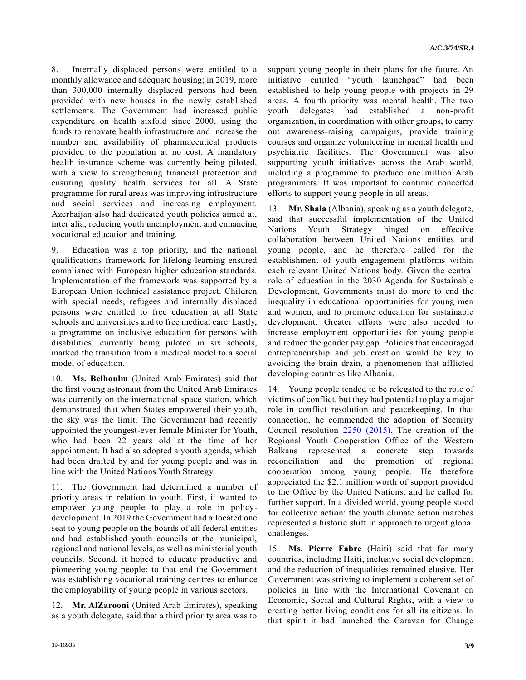8. Internally displaced persons were entitled to a monthly allowance and adequate housing; in 2019, more than 300,000 internally displaced persons had been provided with new houses in the newly established settlements. The Government had increased public expenditure on health sixfold since 2000, using the funds to renovate health infrastructure and increase the number and availability of pharmaceutical products provided to the population at no cost. A mandatory health insurance scheme was currently being piloted, with a view to strengthening financial protection and ensuring quality health services for all. A State programme for rural areas was improving infrastructure and social services and increasing employment. Azerbaijan also had dedicated youth policies aimed at, inter alia, reducing youth unemployment and enhancing vocational education and training.

9. Education was a top priority, and the national qualifications framework for lifelong learning ensured compliance with European higher education standards. Implementation of the framework was supported by a European Union technical assistance project. Children with special needs, refugees and internally displaced persons were entitled to free education at all State schools and universities and to free medical care. Lastly, a programme on inclusive education for persons with disabilities, currently being piloted in six schools, marked the transition from a medical model to a social model of education.

10. **Ms. Belhoulm** (United Arab Emirates) said that the first young astronaut from the United Arab Emirates was currently on the international space station, which demonstrated that when States empowered their youth, the sky was the limit. The Government had recently appointed the youngest-ever female Minister for Youth, who had been 22 years old at the time of her appointment. It had also adopted a youth agenda, which had been drafted by and for young people and was in line with the United Nations Youth Strategy.

11. The Government had determined a number of priority areas in relation to youth. First, it wanted to empower young people to play a role in policydevelopment. In 2019 the Government had allocated one seat to young people on the boards of all federal entities and had established youth councils at the municipal, regional and national levels, as well as ministerial youth councils. Second, it hoped to educate productive and pioneering young people: to that end the Government was establishing vocational training centres to enhance the employability of young people in various sectors.

12. **Mr. AlZarooni** (United Arab Emirates), speaking as a youth delegate, said that a third priority area was to support young people in their plans for the future. An initiative entitled "youth launchpad" had been established to help young people with projects in 29 areas. A fourth priority was mental health. The two youth delegates had established a non-profit organization, in coordination with other groups, to carry out awareness-raising campaigns, provide training courses and organize volunteering in mental health and psychiatric facilities. The Government was also supporting youth initiatives across the Arab world, including a programme to produce one million Arab programmers. It was important to continue concerted efforts to support young people in all areas.

13. **Mr. Shala** (Albania), speaking as a youth delegate, said that successful implementation of the United Nations Youth Strategy hinged on effective collaboration between United Nations entities and young people, and he therefore called for the establishment of youth engagement platforms within each relevant United Nations body. Given the central role of education in the 2030 Agenda for Sustainable Development, Governments must do more to end the inequality in educational opportunities for young men and women, and to promote education for sustainable development. Greater efforts were also needed to increase employment opportunities for young people and reduce the gender pay gap. Policies that encouraged entrepreneurship and job creation would be key to avoiding the brain drain, a phenomenon that afflicted developing countries like Albania.

14. Young people tended to be relegated to the role of victims of conflict, but they had potential to play a major role in conflict resolution and peacekeeping. In that connection, he commended the adoption of Security Council resolution [2250 \(2015\).](https://undocs.org/en/S/RES/2250%20(2015)) The creation of the Regional Youth Cooperation Office of the Western Balkans represented a concrete step towards reconciliation and the promotion of regional cooperation among young people. He therefore appreciated the \$2.1 million worth of support provided to the Office by the United Nations, and he called for further support. In a divided world, young people stood for collective action: the youth climate action marches represented a historic shift in approach to urgent global challenges.

15. **Ms. Pierre Fabre** (Haiti) said that for many countries, including Haiti, inclusive social development and the reduction of inequalities remained elusive. Her Government was striving to implement a coherent set of policies in line with the International Covenant on Economic, Social and Cultural Rights, with a view to creating better living conditions for all its citizens. In that spirit it had launched the Caravan for Change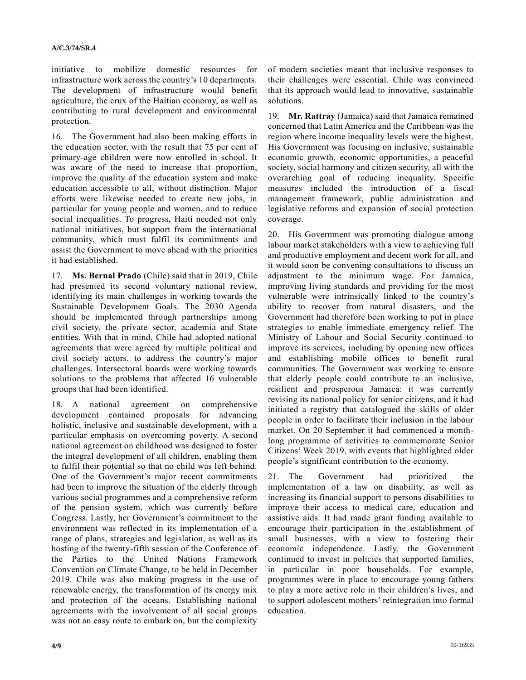initiative to mobilize domestic resources for infrastructure work across the country's 10 departments. The development of infrastructure would benefit agriculture, the crux of the Haitian economy, as well as contributing to rural development and environmental protection.

16. The Government had also been making efforts in the education sector, with the result that 75 per cent of primary-age children were now enrolled in school. It was aware of the need to increase that proportion, improve the quality of the education system and make education accessible to all, without distinction. Major efforts were likewise needed to create new jobs, in particular for young people and women, and to reduce social inequalities. To progress, Haiti needed not only national initiatives, but support from the international community, which must fulfil its commitments and assist the Government to move ahead with the priorities it had established.

17. **Ms. Bernal Prado** (Chile) said that in 2019, Chile had presented its second voluntary national review, identifying its main challenges in working towards the Sustainable Development Goals. The 2030 Agenda should be implemented through partnerships among civil society, the private sector, academia and State entities. With that in mind, Chile had adopted national agreements that were agreed by multiple political and civil society actors, to address the country's major challenges. Intersectoral boards were working towards solutions to the problems that affected 16 vulnerable groups that had been identified.

18. A national agreement on comprehensive development contained proposals for advancing holistic, inclusive and sustainable development, with a particular emphasis on overcoming poverty. A second national agreement on childhood was designed to foster the integral development of all children, enabling them to fulfil their potential so that no child was left behind. One of the Government's major recent commitments had been to improve the situation of the elderly through various social programmes and a comprehensive reform of the pension system, which was currently before Congress. Lastly, her Government's commitment to the environment was reflected in its implementation of a range of plans, strategies and legislation, as well as its hosting of the twenty-fifth session of the Conference of the Parties to the United Nations Framework Convention on Climate Change, to be held in December 2019. Chile was also making progress in the use of renewable energy, the transformation of its energy mix and protection of the oceans. Establishing national agreements with the involvement of all social groups was not an easy route to embark on, but the complexity

of modern societies meant that inclusive responses to their challenges were essential. Chile was convinced that its approach would lead to innovative, sustainable solutions.

19. **Mr. Rattray** (Jamaica) said that Jamaica remained concerned that Latin America and the Caribbean was the region where income inequality levels were the highest. His Government was focusing on inclusive, sustainable economic growth, economic opportunities, a peaceful society, social harmony and citizen security, all with the overarching goal of reducing inequality. Specific measures included the introduction of a fiscal management framework, public administration and legislative reforms and expansion of social protection coverage.

20. His Government was promoting dialogue among labour market stakeholders with a view to achieving full and productive employment and decent work for all, and it would soon be convening consultations to discuss an adjustment to the minimum wage. For Jamaica, improving living standards and providing for the most vulnerable were intrinsically linked to the country's ability to recover from natural disasters, and the Government had therefore been working to put in place strategies to enable immediate emergency relief. The Ministry of Labour and Social Security continued to improve its services, including by opening new offices and establishing mobile offices to benefit rural communities. The Government was working to ensure that elderly people could contribute to an inclusive, resilient and prosperous Jamaica: it was currently revising its national policy for senior citizens, and it had initiated a registry that catalogued the skills of older people in order to facilitate their inclusion in the labour market. On 20 September it had commenced a monthlong programme of activities to commemorate Senior Citizens' Week 2019, with events that highlighted older people's significant contribution to the economy.

21. The Government had prioritized the implementation of a law on disability, as well as increasing its financial support to persons disabilities to improve their access to medical care, education and assistive aids. It had made grant funding available to encourage their participation in the establishment of small businesses, with a view to fostering their economic independence. Lastly, the Government continued to invest in policies that supported families, in particular in poor households. For example, programmes were in place to encourage young fathers to play a more active role in their children's lives, and to support adolescent mothers' reintegration into formal education.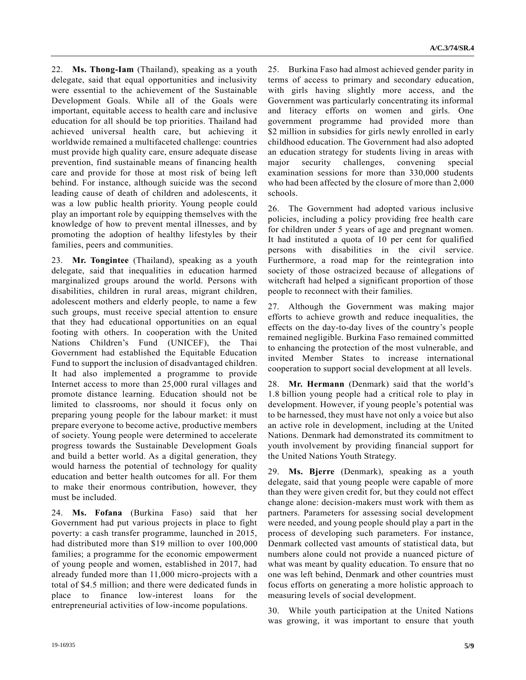22. **Ms. Thong-Iam** (Thailand), speaking as a youth delegate, said that equal opportunities and inclusivity were essential to the achievement of the Sustainable Development Goals. While all of the Goals were important, equitable access to health care and inclusive education for all should be top priorities. Thailand had achieved universal health care, but achieving it worldwide remained a multifaceted challenge: countries must provide high quality care, ensure adequate disease prevention, find sustainable means of financing health care and provide for those at most risk of being left behind. For instance, although suicide was the second leading cause of death of children and adolescents, it was a low public health priority. Young people could play an important role by equipping themselves with the knowledge of how to prevent mental illnesses, and by promoting the adoption of healthy lifestyles by their families, peers and communities.

23. **Mr. Tongintee** (Thailand), speaking as a youth delegate, said that inequalities in education harmed marginalized groups around the world. Persons with disabilities, children in rural areas, migrant children, adolescent mothers and elderly people, to name a few such groups, must receive special attention to ensure that they had educational opportunities on an equal footing with others. In cooperation with the United Nations Children's Fund (UNICEF), the Thai Government had established the Equitable Education Fund to support the inclusion of disadvantaged children. It had also implemented a programme to provide Internet access to more than 25,000 rural villages and promote distance learning. Education should not be limited to classrooms, nor should it focus only on preparing young people for the labour market: it must prepare everyone to become active, productive members of society. Young people were determined to accelerate progress towards the Sustainable Development Goals and build a better world. As a digital generation, they would harness the potential of technology for quality education and better health outcomes for all. For them to make their enormous contribution, however, they must be included.

24. **Ms. Fofana** (Burkina Faso) said that her Government had put various projects in place to fight poverty: a cash transfer programme, launched in 2015, had distributed more than \$19 million to over 100,000 families; a programme for the economic empowerment of young people and women, established in 2017, had already funded more than 11,000 micro-projects with a total of \$4.5 million; and there were dedicated funds in place to finance low-interest loans for the entrepreneurial activities of low-income populations.

25. Burkina Faso had almost achieved gender parity in terms of access to primary and secondary education, with girls having slightly more access, and the Government was particularly concentrating its informal and literacy efforts on women and girls. One government programme had provided more than \$2 million in subsidies for girls newly enrolled in early childhood education. The Government had also adopted an education strategy for students living in areas with major security challenges, convening special examination sessions for more than 330,000 students who had been affected by the closure of more than 2,000 schools.

26. The Government had adopted various inclusive policies, including a policy providing free health care for children under 5 years of age and pregnant women. It had instituted a quota of 10 per cent for qualified persons with disabilities in the civil service. Furthermore, a road map for the reintegration into society of those ostracized because of allegations of witchcraft had helped a significant proportion of those people to reconnect with their families.

27. Although the Government was making major efforts to achieve growth and reduce inequalities, the effects on the day-to-day lives of the country's people remained negligible. Burkina Faso remained committed to enhancing the protection of the most vulnerable, and invited Member States to increase international cooperation to support social development at all levels.

28. **Mr. Hermann** (Denmark) said that the world's 1.8 billion young people had a critical role to play in development. However, if young people's potential was to be harnessed, they must have not only a voice but also an active role in development, including at the United Nations. Denmark had demonstrated its commitment to youth involvement by providing financial support for the United Nations Youth Strategy.

29. **Ms. Bjerre** (Denmark), speaking as a youth delegate, said that young people were capable of more than they were given credit for, but they could not effect change alone: decision-makers must work with them as partners. Parameters for assessing social development were needed, and young people should play a part in the process of developing such parameters. For instance, Denmark collected vast amounts of statistical data, but numbers alone could not provide a nuanced picture of what was meant by quality education. To ensure that no one was left behind, Denmark and other countries must focus efforts on generating a more holistic approach to measuring levels of social development.

30. While youth participation at the United Nations was growing, it was important to ensure that youth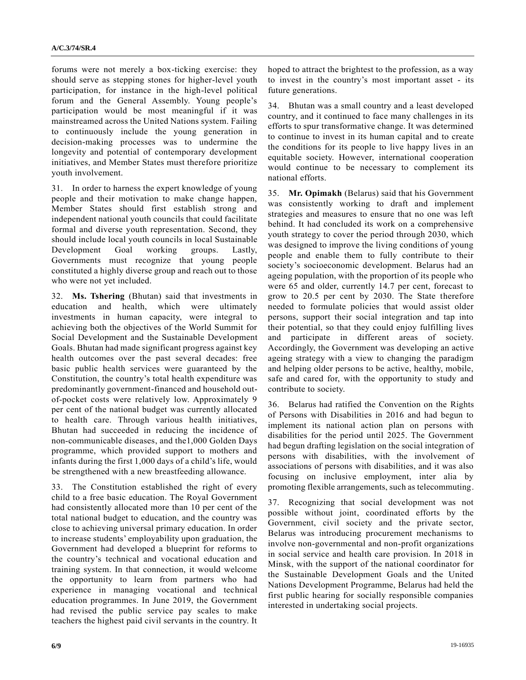forums were not merely a box-ticking exercise: they should serve as stepping stones for higher-level youth participation, for instance in the high-level political forum and the General Assembly. Young people's participation would be most meaningful if it was mainstreamed across the United Nations system. Failing to continuously include the young generation in decision-making processes was to undermine the longevity and potential of contemporary development initiatives, and Member States must therefore prioritize youth involvement.

31. In order to harness the expert knowledge of young people and their motivation to make change happen, Member States should first establish strong and independent national youth councils that could facilitate formal and diverse youth representation. Second, they should include local youth councils in local Sustainable Development Goal working groups. Lastly, Governments must recognize that young people constituted a highly diverse group and reach out to those who were not yet included.

32. **Ms. Tshering** (Bhutan) said that investments in education and health, which were ultimately investments in human capacity, were integral to achieving both the objectives of the World Summit for Social Development and the Sustainable Development Goals. Bhutan had made significant progress against key health outcomes over the past several decades: free basic public health services were guaranteed by the Constitution, the country's total health expenditure was predominantly government-financed and household outof-pocket costs were relatively low. Approximately 9 per cent of the national budget was currently allocated to health care. Through various health initiatives, Bhutan had succeeded in reducing the incidence of non-communicable diseases, and the1,000 Golden Days programme, which provided support to mothers and infants during the first 1,000 days of a child's life, would be strengthened with a new breastfeeding allowance.

33. The Constitution established the right of every child to a free basic education. The Royal Government had consistently allocated more than 10 per cent of the total national budget to education, and the country was close to achieving universal primary education. In order to increase students' employability upon graduation, the Government had developed a blueprint for reforms to the country's technical and vocational education and training system. In that connection, it would welcome the opportunity to learn from partners who had experience in managing vocational and technical education programmes. In June 2019, the Government had revised the public service pay scales to make teachers the highest paid civil servants in the country. It

hoped to attract the brightest to the profession, as a way to invest in the country's most important asset - its future generations.

34. Bhutan was a small country and a least developed country, and it continued to face many challenges in its efforts to spur transformative change. It was determined to continue to invest in its human capital and to create the conditions for its people to live happy lives in an equitable society. However, international cooperation would continue to be necessary to complement its national efforts.

35. **Mr. Opimakh** (Belarus) said that his Government was consistently working to draft and implement strategies and measures to ensure that no one was left behind. It had concluded its work on a comprehensive youth strategy to cover the period through 2030, which was designed to improve the living conditions of young people and enable them to fully contribute to their society's socioeconomic development. Belarus had an ageing population, with the proportion of its people who were 65 and older, currently 14.7 per cent, forecast to grow to 20.5 per cent by 2030. The State therefore needed to formulate policies that would assist older persons, support their social integration and tap into their potential, so that they could enjoy fulfilling lives and participate in different areas of society. Accordingly, the Government was developing an active ageing strategy with a view to changing the paradigm and helping older persons to be active, healthy, mobile, safe and cared for, with the opportunity to study and contribute to society.

36. Belarus had ratified the Convention on the Rights of Persons with Disabilities in 2016 and had begun to implement its national action plan on persons with disabilities for the period until 2025. The Government had begun drafting legislation on the social integration of persons with disabilities, with the involvement of associations of persons with disabilities, and it was also focusing on inclusive employment, inter alia by promoting flexible arrangements, such as telecommuting.

37. Recognizing that social development was not possible without joint, coordinated efforts by the Government, civil society and the private sector, Belarus was introducing procurement mechanisms to involve non-governmental and non-profit organizations in social service and health care provision. In 2018 in Minsk, with the support of the national coordinator for the Sustainable Development Goals and the United Nations Development Programme, Belarus had held the first public hearing for socially responsible companies interested in undertaking social projects.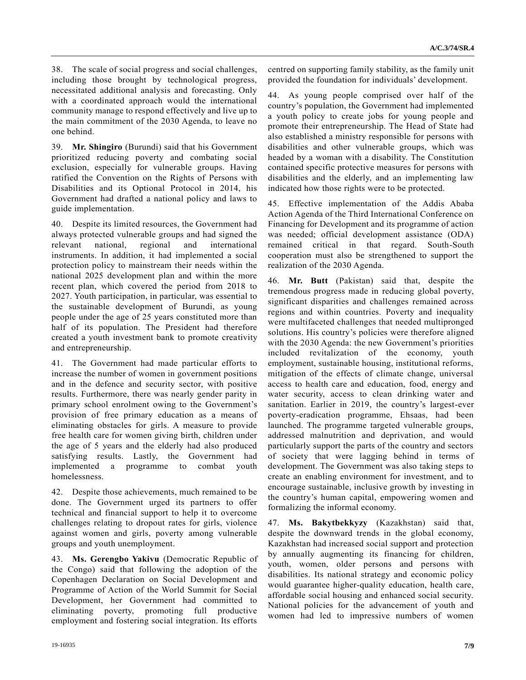38. The scale of social progress and social challenges, including those brought by technological progress, necessitated additional analysis and forecasting. Only with a coordinated approach would the international community manage to respond effectively and live up to the main commitment of the 2030 Agenda, to leave no one behind.

39. **Mr. Shingiro** (Burundi) said that his Government prioritized reducing poverty and combating social exclusion, especially for vulnerable groups. Having ratified the Convention on the Rights of Persons with Disabilities and its Optional Protocol in 2014, his Government had drafted a national policy and laws to guide implementation.

40. Despite its limited resources, the Government had always protected vulnerable groups and had signed the relevant national, regional and international instruments. In addition, it had implemented a social protection policy to mainstream their needs within the national 2025 development plan and within the more recent plan, which covered the period from 2018 to 2027. Youth participation, in particular, was essential to the sustainable development of Burundi, as young people under the age of 25 years constituted more than half of its population. The President had therefore created a youth investment bank to promote creativity and entrepreneurship.

41. The Government had made particular efforts to increase the number of women in government positions and in the defence and security sector, with positive results. Furthermore, there was nearly gender parity in primary school enrolment owing to the Government's provision of free primary education as a means of eliminating obstacles for girls. A measure to provide free health care for women giving birth, children under the age of 5 years and the elderly had also produced satisfying results. Lastly, the Government had implemented a programme to combat youth homelessness.

42. Despite those achievements, much remained to be done. The Government urged its partners to offer technical and financial support to help it to overcome challenges relating to dropout rates for girls, violence against women and girls, poverty among vulnerable groups and youth unemployment.

43. **Ms. Gerengbo Yakivu** (Democratic Republic of the Congo) said that following the adoption of the Copenhagen Declaration on Social Development and Programme of Action of the World Summit for Social Development, her Government had committed to eliminating poverty, promoting full productive employment and fostering social integration. Its efforts

centred on supporting family stability, as the family unit provided the foundation for individuals' development.

44. As young people comprised over half of the country's population, the Government had implemented a youth policy to create jobs for young people and promote their entrepreneurship. The Head of State had also established a ministry responsible for persons with disabilities and other vulnerable groups, which was headed by a woman with a disability. The Constitution contained specific protective measures for persons with disabilities and the elderly, and an implementing law indicated how those rights were to be protected.

45. Effective implementation of the Addis Ababa Action Agenda of the Third International Conference on Financing for Development and its programme of action was needed; official development assistance (ODA) remained critical in that regard. South-South cooperation must also be strengthened to support the realization of the 2030 Agenda.

46. **Mr. Butt** (Pakistan) said that, despite the tremendous progress made in reducing global poverty, significant disparities and challenges remained across regions and within countries. Poverty and inequality were multifaceted challenges that needed multipronged solutions. His country's policies were therefore aligned with the 2030 Agenda: the new Government's priorities included revitalization of the economy, youth employment, sustainable housing, institutional reforms, mitigation of the effects of climate change, universal access to health care and education, food, energy and water security, access to clean drinking water and sanitation. Earlier in 2019, the country's largest-ever poverty-eradication programme, Ehsaas, had been launched. The programme targeted vulnerable groups, addressed malnutrition and deprivation, and would particularly support the parts of the country and sectors of society that were lagging behind in terms of development. The Government was also taking steps to create an enabling environment for investment, and to encourage sustainable, inclusive growth by investing in the country's human capital, empowering women and formalizing the informal economy.

47. **Ms. Bakytbekkyzy** (Kazakhstan) said that, despite the downward trends in the global economy, Kazakhstan had increased social support and protection by annually augmenting its financing for children, youth, women, older persons and persons with disabilities. Its national strategy and economic policy would guarantee higher-quality education, health care, affordable social housing and enhanced social security. National policies for the advancement of youth and women had led to impressive numbers of women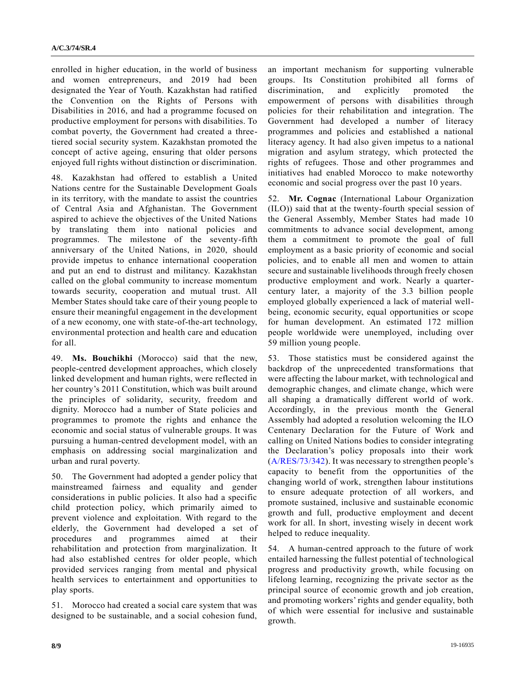enrolled in higher education, in the world of business and women entrepreneurs, and 2019 had been designated the Year of Youth. Kazakhstan had ratified the Convention on the Rights of Persons with Disabilities in 2016, and had a programme focused on productive employment for persons with disabilities. To combat poverty, the Government had created a threetiered social security system. Kazakhstan promoted the concept of active ageing, ensuring that older persons enjoyed full rights without distinction or discrimination.

48. Kazakhstan had offered to establish a United Nations centre for the Sustainable Development Goals in its territory, with the mandate to assist the countries of Central Asia and Afghanistan. The Government aspired to achieve the objectives of the United Nations by translating them into national policies and programmes. The milestone of the seventy-fifth anniversary of the United Nations, in 2020, should provide impetus to enhance international cooperation and put an end to distrust and militancy. Kazakhstan called on the global community to increase momentum towards security, cooperation and mutual trust. All Member States should take care of their young people to ensure their meaningful engagement in the development of a new economy, one with state-of-the-art technology, environmental protection and health care and education for all.

49. **Ms. Bouchikhi** (Morocco) said that the new, people-centred development approaches, which closely linked development and human rights, were reflected in her country's 2011 Constitution, which was built around the principles of solidarity, security, freedom and dignity. Morocco had a number of State policies and programmes to promote the rights and enhance the economic and social status of vulnerable groups. It was pursuing a human-centred development model, with an emphasis on addressing social marginalization and urban and rural poverty.

50. The Government had adopted a gender policy that mainstreamed fairness and equality and gender considerations in public policies. It also had a specific child protection policy, which primarily aimed to prevent violence and exploitation. With regard to the elderly, the Government had developed a set of procedures and programmes aimed at their rehabilitation and protection from marginalization. It had also established centres for older people, which provided services ranging from mental and physical health services to entertainment and opportunities to play sports.

51. Morocco had created a social care system that was designed to be sustainable, and a social cohesion fund, an important mechanism for supporting vulnerable groups. Its Constitution prohibited all forms of discrimination, and explicitly promoted the empowerment of persons with disabilities through policies for their rehabilitation and integration. The Government had developed a number of literacy programmes and policies and established a national literacy agency. It had also given impetus to a national migration and asylum strategy, which protected the rights of refugees. Those and other programmes and initiatives had enabled Morocco to make noteworthy economic and social progress over the past 10 years.

52. **Mr. Cognac** (International Labour Organization (ILO)) said that at the twenty-fourth special session of the General Assembly, Member States had made 10 commitments to advance social development, among them a commitment to promote the goal of full employment as a basic priority of economic and social policies, and to enable all men and women to attain secure and sustainable livelihoods through freely chosen productive employment and work. Nearly a quartercentury later, a majority of the 3.3 billion people employed globally experienced a lack of material wellbeing, economic security, equal opportunities or scope for human development. An estimated 172 million people worldwide were unemployed, including over 59 million young people.

53. Those statistics must be considered against the backdrop of the unprecedented transformations that were affecting the labour market, with technological and demographic changes, and climate change, which were all shaping a dramatically different world of work. Accordingly, in the previous month the General Assembly had adopted a resolution welcoming the ILO Centenary Declaration for the Future of Work and calling on United Nations bodies to consider integrating the Declaration's policy proposals into their work [\(A/RES/73/342\)](https://undocs.org/en/A/RES/73/342). It was necessary to strengthen people's capacity to benefit from the opportunities of the changing world of work, strengthen labour institutions to ensure adequate protection of all workers, and promote sustained, inclusive and sustainable economic growth and full, productive employment and decent work for all. In short, investing wisely in decent work helped to reduce inequality.

54. A human-centred approach to the future of work entailed harnessing the fullest potential of technological progress and productivity growth, while focusing on lifelong learning, recognizing the private sector as the principal source of economic growth and job creation, and promoting workers' rights and gender equality, both of which were essential for inclusive and sustainable growth.